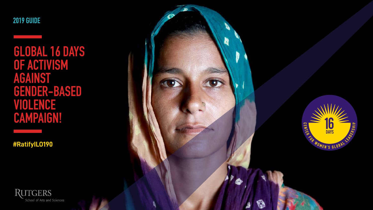**2019 GUIDE**

**#RatifyILO190**





ಣ

**GLOBAL 16 DAYS OF ACTIVISM AGAINST GENDER-BASED VIOLENCE CAMPAIGN!**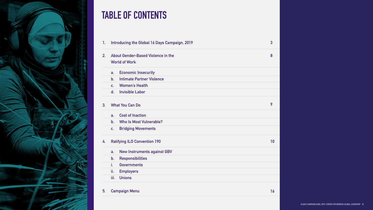

## **TABLE OF CONTENTS**

- **1. Introducing the Global 16 Days Campaign, 2019**
- **2. About Gender-Based Violence in the World of Work**
	- **a. Economic Insecurity**
	- **b. Intimate Partner Violence**
	- **c. Women's Health**
	- **d. Invisible Labor**
- **3. What You Can Do**
	- **a. Cost of Inaction**
	- **b. Who Is Most Vulnerable?**
	- **c. Bridging Movements**
- **4. Ratifying ILO Convention 190**
	- **a. New Instruments against GBV**
	- **b. Responsibilities**
	- **i. Governments**
	- **ii. Employers**
	- **iii. Unions**
- **5. Campaign Menu**

| 3  |
|----|
| 8  |
|    |
|    |
|    |
|    |
|    |
| 9  |
|    |
|    |
|    |
| 10 |
|    |
|    |
|    |
|    |
|    |
| 16 |
|    |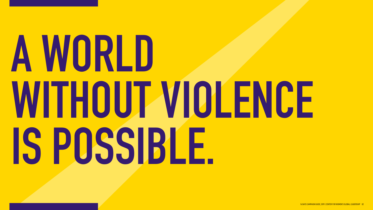# **A WORLD WITHOUT VIOLENCE IS POSSIBLE.**

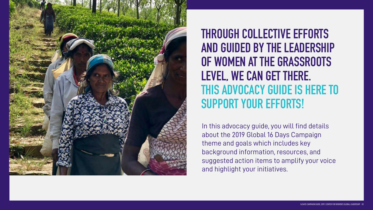

In this advocacy guide, you will find details about the 2019 Global 16 Days Campaign theme and goals which includes key background information, resources, and suggested action items to amplify your voice and highlight your initiatives.

**THROUGH COLLECTIVE EFFORTS AND GUIDED BY THE LEADERSHIP OF WOMEN AT THE GRASSROOTS LEVEL, WE CAN GET THERE. THIS ADVOCACY GUIDE IS HERE TO SUPPORT YOUR EFFORTS!**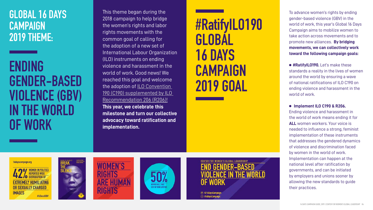## **GLOBAL 16 DAYS CAMPAIGN 2019 THEME:**

To advance women's rights by ending gender-based violence (GBV) in the world of work, this year's Global 16 Days Campaign aims to mobilize women to take action across movements and to promote new alliances. **By bridging movements, we can collectively work toward the following campaign goals:**

 **#RatifyILO190.** Let's make these standards a reality in the lives of women around the world by ensuring a wave of national ratifications of ILO C190 on ending violence and harassment in the world of work.

#### **Implement ILO C190 & R206.**

Ending violence and harassment in the world of work means ending it for **ALL** women workers. Your voice is needed to influence a strong, feminist implementation of these instruments that addresses the gendered dynamics of violence and discrimination faced by women in the world of work. Implementation can happen at the national level after ratification by governments, and can be initiated by employers and unions sooner by allowing the new standards to guide their practices.

## **ENDING GENDER-BASED VIOLENCE (GBV) IN THE WORLD OF WORK**

This theme began during the 2018 campaign to help bridge the women's rights and labor rights movements with the common goal of calling for the adoption of a new set of International Labour Organization (ILO) instruments on ending violence and harassment in the world of work. Good news! We reached this goal and welcome the adoption of **ILO Convention** [190 \(C190\) supplemented by ILO](https://16dayscampaign.org/2019/06/21/center-for-womens-global-leadership-welcomes-new-ilo-treaty-to-end-violence-and-harassment-against-women-in-the-world-of-work/)  [Recommendation 206 \(R206\)!](https://16dayscampaign.org/2019/06/21/center-for-womens-global-leadership-welcomes-new-ilo-treaty-to-end-violence-and-harassment-against-women-in-the-world-of-work/) **This year, we celebrate this milestone and turn our collective advocacy toward ratification and implementation.** 

# **#RatifyILO190 GLOBAL 16 DAYS CAMPAIGN 2019 GOAL**

16dayscampaign.org











CENTER FOR WOMEN'S GLOBAL LEADERSHIP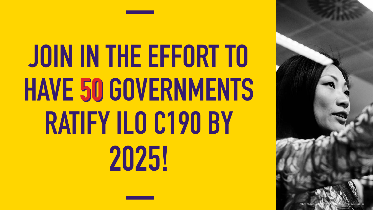# **50 HAVE 50 GOVERNMENTS JOIN IN THE EFFORT TO RATIFY ILO C190 BY 2025!**

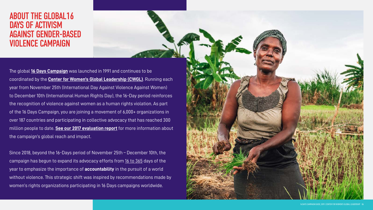The global **[16 Days Campaign](https://16dayscampaign.org/about-the-campaign/)** was launched in 1991 and continues to be coordinated by the **[Center for Women's Global Leadership \(CWGL\)](https://cwgl.rutgers.edu)**. Running each year from November 25th (International Day Against Violence Against Women) to December 10th (International Human Rights Day), the 16-Day period reinforces the recognition of violence against women as a human rights violation. As part of the 16 Days Campaign, you are joining a movement of 6,000+ organizations in over 187 countries and participating in collective advocacy that has reached 300 million people to date. **[See our 2017 evaluation report](https://16dayscampaign.org/about-the-campaign/16-days-assessment-report/)** for more information about the campaign's global reach and impact.

Since 2018, beyond the 16-Days period of November 25th – December 10th, the campaign has begun to expand its advocacy efforts from [16 to 365](https://16dayscampaign.org/about-the-campaign/from-16-to-365/) days of the year to emphasize the importance of **accountability** in the pursuit of a world without violence. This strategic shift was inspired by recommendations made by women's rights organizations participating in 16 Days campaigns worldwide.



## ABOUT THE GLOBAL16 DAYS OF ACTIVISM AGAINST GENDER-BASED VIOLENCE CAMPAIGN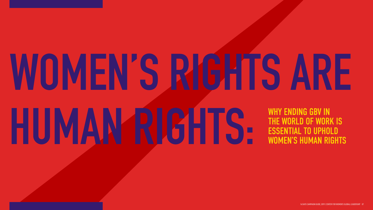# **WOMEN'S RIGHTS ARE HUMAN RIGHTS:** WHY ENDING GBV IN THE WORLD OF WORK IS ESSENTIAL TO UPHOLD WOMEN'S HUMAN RIGHTS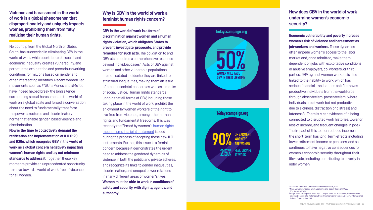**Violence and harassment in the world of work is a global phenomenon that disproportionately and uniquely impacts women, prohibiting them from fully realizing their human rights.** 

No country, from the Global North or Global South, has succeeded in eliminating GBV in the world of work, which contributes to social and economic inequality, creates vulnerability, and perpetuates exploitation and precarious working conditions for millions based on gender and other intersecting identities. Recent women-led movements such as #NiUnaMenos and #MeToo have indeed helped break the long silence surrounding sexual harassment in the world of work on a global scale and forced a conversation about the need to fundamentally transform the power structures and discriminatory norms that enable gender-based violence and discrimination.

**Now is the time to collectively demand the ratification and implementation of ILO C190 and R206, which recognize GBV in the world of work as a global concern negatively impacting women's human rights and lay out minimum standards to address it.** Together, these key moments provide an unprecedented opportunity to move toward a world of work free of violence for all women.

#### **Why is GBV in the world of work a feminist human rights concern?**

**GBV in the world of work is a form of discrimination against women and a human rights violation, which obligates States to prevent, investigate, prosecute, and provide remedies for such acts.** The obligation to end GBV also requires a comprehensive response beyond individual cases. 1 Acts of GBV against women and other vulnerable populations are not isolated incidents: they are linked to structural inequalities, making them an issue of broader societal concern as well as a matter of social justice. Human rights standards uphold that all forms of GBV, including those taking place in the world of work, prohibit the enjoyment by women workers of the right to live free from violence, among other human rights and fundamental freedoms. This was recently reaffirmed by women's human rights [mechanisms in a joint statement](https://16dayscampaign.org/2019/06/03/statement-violence-and-harassment-against-women-and-girls-in-the-world-of-work-is-a-human-rights-violation-say-independent-human-rights-mechanisms-on-violence-against-women-and-womens-right/) issued during the process of adopting these new ILO instruments. Further, this issue is a feminist concern because it demonstrates the urgent need to address the gendered dynamics of violence in both the public and private spheres, and recognize its links to gender inequalities, discrimination, and unequal power relations in many different areas of women's lives. **Women must be able to work in conditions of safety and security, with dignity, agency, and autonomy.**

#### **How does GBV in the world of work undermine women's economic security?**

**Economic vulnerability and poverty increase women's risk of violence and harassment as job-seekers and workers.** These dynamics often impede women's access to the labor market and, once admitted, make them dependent on jobs with exploitative conditions or abusive employers, co-workers, or third parties. GBV against women workers is also linked to their ability to work, which has serious financial implications as it "removes productive individuals from the workforce through absenteeism, presenteeism (where individuals are at work but not productive due to sickness, distraction or distress) and lateness." 2 There is clear evidence of it being connected to disrupted work histories, lower or loss of income, and frequent changes in jobs. 3 The impact of this lost or reduced income in the short-term has long-term effects including lower retirement income or pensions, and so continues to have negative consequences for women's economic security throughout their life-cycle, including contributing to poverty in older women.

<sup>1</sup> CEDAW Committee, General Recommendation 35, 2017.

<sup>2</sup> Nata Duvvery, Evidence Brief: Economic and Social Costs of VAWG. (On file with CWGL)



<sup>&</sup>lt;sup>3</sup> Helge Hoel, Kate Sparks, and Cary L. Cooper, The Cost of Violence/Stress at Work and the Benefits of a Violence/Stress-free Work Environment. Geneva: International Labour Organization. 2001.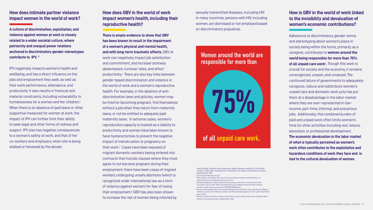#### **How does intimate partner violence impact women in the world of work?**

**A culture of discrimination, exploitation, and violence against women at work is closely related to a wider societal culture, where patriarchy and unequal power relations anchored in discriminatory gender-stereotypes contribute to IPV.** <sup>4</sup>

IPV negatively impacts women's health and wellbeing, and has a direct influence on the jobs and employment they seek, as well as their work performance, attendance, and productivity. It also results in financial and material constraints, including vulnerability to homelessness for a woman and her children.5 When there is an absence of paid leave or other supportive measured for women at work, the impact of IPV can further limit their ability to seek legal and other forms of redress and support. IPV also has negative consequences to a woman's safety at work, and that of her co-workers and employers, when she is being stalked or harassed by the abuser.

#### **How does GBV in the world of work impact women's health, including their reproductive health?**

**There is ample evidence to show that GBV has been known to result in the impairment of a woman's physical and mental health, and with long-term traumatic effects.** GBV at work can negatively impact job satisfaction and commitment, and increase sickness absenteeism, turnover rates, and affect productivity.6 There are also key links between gender-based discrimination and violence in the world of work and a woman's reproductive health. For example, in the absence of antidiscrimination laws and policies, women may be fired for becoming pregnant, find themselves without a job when they return from maternity leave, or not be entitled to adequate paid maternity leave. In extreme cases, women's reproductive capacity is treated as a liability to productivity, and women have been known to have hysterectomies to prevent the negative impact of menstruation or pregnancy on their work.7 Cases have been exposed of migrant domestic workers having entered into contracts that include clauses where they must agree to not become pregnant during their employment; there have been cases of migrant workers undergoing unsafe abortions (which is recognized under international law as a form of violence against women) for fear of losing their employment.8 GBV has also been shown to increase the risk of women being infected by

 $9$  Women at Work Centenary Initiative, Care Work and Care Jobs for the Future of Decent Work. Geneva: International Labour Organization. 2018.

sexually transmitted diseases, including HIV. In many countries, persons with HIV, including women, are dismissed or not employed based on discriminatory prejudices.



#### **How is GBV in the world of work linked to the invisibility and devaluation of women's economic contributions?**

Adherence to discriminatory gender norms and stereotyping about women's place in society being within the home, primarily as a caregiver, contributes to **women around the world being responsible for more than 75% of all unpaid care work**9**.** Though this work is crucial for society and the economy, it remains unrecognized, unseen, and unvalued. The continued failure of governments to adequately recognize, reduce and redistribute women's unpaid care and domestic work puts has put them at a disadvantage in the labor market where they are over-represented in lowincome, part-time, informal, and precarious jobs. Additionally, this combined burden of paid and unpaid work often limits women's time for other activities including rest, leisure, education, or professional development. **The economic devaluation in the labor market of what is typically perceived as women's work often contributes to the exploitative and hazardous conditions of work they face and is tied to the cultural devaluation of women.** 

#### Women around the world are responsible for more than

### of all unpaid care work.

<sup>4</sup> Jane Pillinger, Violence and Harassment against Women and Girls in the World of Work. Trade Union Perspectives and Actions, 55. Geneva: International Labour

Organization. 2017.

- <sup>5</sup> See E/CN.4/2006/118, para. 33
- $^{\rm 6}$  Hoel, Sparks, and Cooper, The Cost of Violence/Stress at Work and the Benefits of a Violence/Stress-free Work Environment, 43-45.
- $^7$  Devayani Nighoskar, "Indian female farmers going 'womb-less' to boost productivity," Al-Jazeera, July 23, 2019. https://www.aljazeera.com/indepth/features/indian-female-
- 
- 
- farmers-womb-boost-productivity-190723201905906.html <sup>8</sup> Dovelyn Rannveig Mendoza, Preventing Pregnancy Discrimination among Temporary Migrant Workers: Lessons from Malaysia, Taiwan, and Thailand. Washington, D.C: Fair Labor Association.
- March 2018.

75%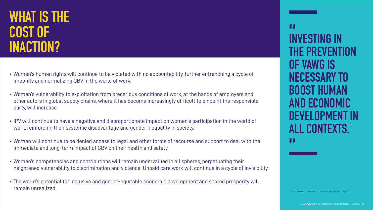- Women's human rights will continue to be violated with no accountability, further entrenching a cycle of impunity and normalizing GBV in the world of work.
- Women's vulnerability to exploitation from precarious conditions of work, at the hands of employers and other actors in global supply chains, where it has become increasingly difficult to pinpoint the responsible party, will increase.
- IPV will continue to have a negative and disproportionate impact on women's participation in the world of work, reinforcing their systemic disadvantage and gender inequality in society.
- Women will continue to be denied access to legal and other forms of recourse and support to deal with the immediate and long-term impact of GBV on their health and safety.
- Women's competencies and contributions will remain undervalued in all spheres, perpetuating their heightened vulnerability to discrimination and violence. Unpaid care work will continue in a cycle of invisibility.
- The world's potential for inclusive and gender-equitable economic development and shared prosperity will remain unrealized.

## **WHAT IS THE COST OF<br>INACTION? INACTION? INVESTING IN**

## **THE PREVENTION OF VAWG IS NECESSARY TO BOOST HUMAN AND ECONOMIC DEVELOPMENT IN ALL CONTEXTS.<sup>10</sup> "**<br>**INVESTING IN "**

<sup>10</sup> Nata Duvvery, Evidence Brief: Economic and Social Costs of VAW(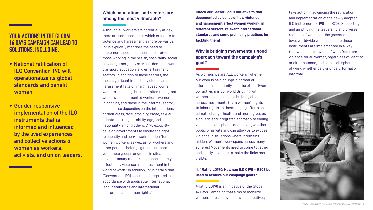#### **YOUR ACTIONS IN THE GLOBAL 16 DAYS CAMPAIGN CAN LEAD TO SOLUTIONS, INCLUDING:**

- **National ratification of ILO Convention 190 will operationalize its global standards and benefit women.**
- **• Gender responsive implementation of the ILO instruments that is informed and influenced by the lived experiences and collective actions of women as workers, activists, and union leaders.**

#### **Which populations and sectors are among the most vulnerable?**

Although all workers are potentially at risk, there are some sectors in which exposure to violence and harassment is more pervasive. R206 explicitly mentions the need to implement specific measures to protect those working in the health, hospitality, social services, emergency services, domestic work, transport, education, and entertainment sectors. In addition to these sectors, the most significant impact of violence and harassment falls on marginalized women workers, including, but not limited to migrant workers, undocumented workers, women in conflict, and those in the informal sector, and does so depending on the intersections of their class, race, ethnicity, caste, sexual orientation, religion, ability, age, and nationality, among others. C190 explicitly calls on governments to ensure the right to equality and non- discrimination "for women workers, as well as for workers and other persons belonging to one or more vulnerable groups or groups in situations of vulnerability that are disproportionately affected by violence and harassment in the world of work." In addition, R206 details that "Convention [190] should be interpreted in accordance with applicable international labour standards and international instruments on human rights."

**Check our [Sector Focus Initiative](https://16dayscampaign.org/campaigns/sector-focus-initiative/) to find documented evidence of how violence and harassment affect women working in different sectors, relevant international standards and some promising practices for tackling them!**

#### **Why is bridging movements a good approach toward the campaign's**

# **goal?**

As women, we are ALL workers- whether our work is paid or unpaid, formal or informal, in the family or in the office. Even our activism is our work! Bridging with women's leadership and building alliances across movements (from women's rights to labor rights, to those leading efforts on climate change, health, and more) gives us a holistic and integrated approach to ending violence in all spheres of our lives, whether public or private and can allow us to expose violence in situations where it remains hidden. Women's work spans across many spheres! Movements need to come together and jointly advocate to make the links more visible.

I**I. #RatifyILO190: How can ILO C190 + R206 be used to achieve our campaign goals?**

#RatifyILO190 is an initiative of the Global 16 Days Campaign that aims to mobilize women, across movements, to collectively

take action in advancing the ratification and implementation of the newly adopted ILO instruments C190 and R206. Supporting and amplifying the leadership and diverse realities of women at the grassroots level worldwide will best ensure these instruments are implemented in a way that will lead to a world of work free from violence for all women, regardless of identity or circumstance, and across all spheres of work, whether paid or unpaid, formal or informal.

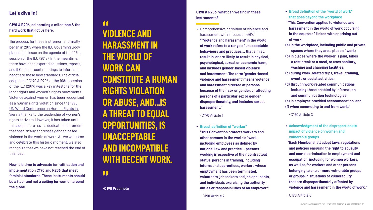#### **Let's dive in!**

and the state of the state of the state of

#### **C190 & R206: celebrating a milestone & the hard work that got us here.**

The process for these instruments formally began in 2015 when the ILO Governing Body placed this issue on the agenda of the 107th session of the ILC (2018). In the meantime, there have been expert discussions, reports, and ILO constituent meetings to inform and negotiate these new standards. The official adoption of C190 & R206 at the 108th session of the ILC (2019) was a key milestone for the labor rights and women's rights movements. Violence against women has been recognized as a human rights violation since the [1993](https://globalfeministjourneys.com/event/un-world-conference-on-human-rights-in-vienna/)  [UN W](https://globalfeministjourneys.com/event/un-world-conference-on-human-rights-in-vienna/)orld Conference on Human Rights in Vienna thanks to the leadership of women's rights activists. However, it has taken until this adoption to have a dedicated instrument that specifically addresses gender-based violence in the world of work. As we welcome and celebrate this historic moment, we also recognize that we have not reached the end of this road.

**Now it is time to advocate for ratification and implementation C190 and R206 that meet feminist standards. These instruments should be a floor and not a ceiling for women around the globe.**

## **VIOLENCE AND HARASSMENT IN THE WORLD OF WORK CAN CONSTITUTE A HUMAN RIGHTS VIOLATION OR ABUSE, AND...IS A THREAT TO EQUAL OPPORTUNITIES, IS UNACCEPTABLE AND INCOMPATIBLE WITH DECENT WORK. "**<br>"

#### **C190 & R206: what can we find in these instruments?**

- 
- 
- 
- 
- 
- 

• Comprehensive definition of violence and harassment with a focus on GBV.

 **" 'Violence and harassment' in the world of work refers to a range of unacceptable behaviours and practices ... that aim at, result in, or are likely to result in physical, psychological, sexual or economic harm, and includes gender-based violence and harassment. The term 'gender-based violence and harassment' means violence and harassment directed at persons because of their sex or gender, or affecting persons of a particular sex or gender disproportionately, and includes sexual harassment."**

-C190 Article 1

**• Broad definition of "worker" "This Convention protects workers and other persons in the world of work, including employees as defined by national law and practice… persons working irrespective of their contractual status, persons in training, including interns and apprentices, workers whose employment has been terminated, volunteers, jobseekers and job applicants, and individuals exercising the authority, duties or responsibilities of an employer."**

- C190 Article 2

**"**

**-C190 Preamble**

- **Broad definition of the "world of work" that goes beyond the workplace "This Convention applies to violence and**
- **harassment in the world of work occurring in the course of, linked with or arising out of work:**
- **(a) in the workplace, including public and private spaces where they are a place of work;**
- **(b) in places where the worker is paid, takes a rest break or a meal, or uses sanitary, washing and changing facilities;**
- **(c) during work-related trips, travel, training, events or social activities;**
- **(d) through work-related communications, including those enabled by information and communication technologies;**
- **(e) in employer-provided accommodation; and**
- **(f) when commuting to and from work."**

-C190 Article 3

- **Acknowledgment of the disproportionate impact of violence on women and vulnerable groups**
- **"Each Member shall adopt laws, regulations and policies ensuring the right to equality and non-discrimination in employment and occupation, including for women workers, as well as for workers and other persons belonging to one or more vulnerable groups or groups in situations of vulnerability that are disproportionately affected by violence and harassment in the world of work."**

-C190 Article 6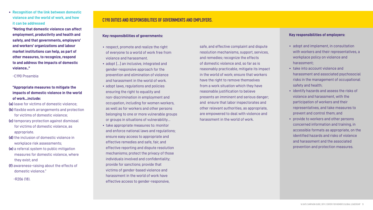**• Recognition of the link between domestic violence and the world of work, and how it can be addressed**

 **"Noting that domestic violence can affect employment, productivity and health and safety, and that governments, employers' and workers' organizations and labour market institutions can help, as part of other measures, to recognize, respond to and address the impacts of domestic violence.."**

#### -C190 Preamble

#### **"Appropriate measures to mitigate the impacts of domestic violence in the world of work...include:**

- **(a)** leave for victims of domestic violence;
- **(b)** flexible work arrangements and protection for victims of domestic violence;
- **(c)** temporary protection against dismissal for victims of domestic violence, as appropriate.
- **(d)** the inclusion of domestic violence in workplace risk assessments;
- **(e)** a referral system to public mitigation measures for domestic violence, where they exist; and
- **(f)** awareness-raising about the effects of domestic violence."

-R206 (18).

#### **Key responsibilities of governments:**

- respect, promote and realize the right of everyone to a world of work free from violence and harassment.
- adopt […] an inclusive, integrated and gender-responsive approach for the prevention and elimination of violence and harassment in the world of work.
- adopt laws, regulations and policies ensuring the right to equality and non-discrimination in employment and occupation, including for women workers, as well as for workers and other persons belonging to one or more vulnerable groups or groups in situations of vulnerability…
- take appropriate measures to: monitor and enforce national laws and regulations; ensure easy access to appropriate and effective remedies and safe, fair, and effective reporting and dispute resolution mechanisms; protect the privacy of those individuals involved and confidentiality; provide for sanctions; provide that victims of gender-based violence and harassment in the world of work have effective access to gender-responsive,

#### **Key responsibilities of employers:**

- adopt and implement, in consultation with workers and their representatives, a workplace policy on violence and harassment;
- take into account violence and harassment and associated psychosocial risks in the management of occupational safety and health;
- identify hazards and assess the risks of violence and harassment, with the participation of workers and their representatives, and take measures to prevent and control them; and
- provide to workers and other persons concerned information and training, in accessible formats as appropriate, on the identified hazards and risks of violence and harassment and the associated prevention and protection measures.

safe, and effective complaint and dispute resolution mechanisms, support, services, and remedies; recognize the effects of domestic violence and, so far as is reasonably practicable, mitigate its impact in the world of work; ensure that workers have the right to remove themselves from a work situation which they have reasonable justification to believe presents an imminent and serious danger; and ensure that labor inspectorates and other relevant authorities, as appropriate, are empowered to deal with violence and harassment in the world of work.

#### **C190 DUTIES AND RESPONSIBILITIES OF GOVERNMENTS AND EMPLOYERS.**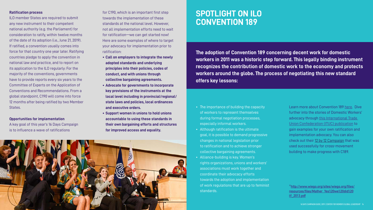**The adoption of Convention 189 concerning decent work for domestic workers in 2011 was a historic step forward. This legally binding instrument recognizes the contribution of domestic work to the economy and protects workers around the globe. The process of negotiating this new standard offers key lessons:**

• The importance of building the capacity of workers to represent themselves during formal negotiation processes, especially informal workers. • Although ratification is the ultimate goal, it is possible to demand progressive changes in national legislation prior to ratification and to achieve stronger collective bargaining agreements. • Alliance-building is key. Women's rights organizations, unions and workers' associations must work together and coordinate their advocacy efforts towards the adoption and implementation of work regulations that are up to feminist

Learn more about Convention 189 [here](https://www.wiego.org/sites/wiego.org/files/resources/files/Mather_Yes%20we%20did%20it!_2013.pdf). Dive further into the stories of Domestic Workers' advocacy through this International Trade [Union Confederation \(ITUC\) publication](https://www.ituc-csi.org/unite) to gain examples for your own ratification and implementation advocacy. You can also check out their [12 by 12 Campaign](https://www.ituc-csi.org/domestic-workers-12-by-12) that was used successfully for cross-movement building to make progress with C189.

- 
- 
- standards.



## **SPOTLIGHT ON ILO CONVENTION 189**

#### **Ratification process**

ILO member States are required to submit any new instrument to their competent national authority (e.g. the Parliament) for consideration to ratify, within twelve months of the date of its adoption (i.e., June 21, 2019). If ratified, a convention usually comes into force for that country one year later. Ratifying countries pledge to apply the convention in national law and practice, and to report on its application to the ILO regularly: For the majority of the conventions, governments have to provide reports every six years to the Committee of Experts on the Application of Conventions and Recommendations. From a global standpoint, C190 will come into force 12 months after being ratified by two Member States.

#### **Opportunities for implementation**

A key goal of this year's 16 Days Campaign is to influence a wave of ratifications

for C190, which is an important first step towards the implementation of these standards at the national level. However, not all implementation efforts need to wait for ratification—we can get started now! Here are some examples of where to target your advocacy for implementation prior to ratification:

- **• Call on employers to integrate the newly adopted standards and underlying principles into their policies, codes of conduct, and with unions through collective bargaining agreements.**
- **• Advocate for governments to incorporate key provisions of the instruments at the local level including in provincial/regional/ state laws and policies, local ordinances and executive orders.**
- **• Support women in unions to hold unions accountable to using these standards in their own bargaining efforts and structures for improved access and equality.**

**11[http://www.wiego.org/sites/wiego.org/files/](https://www.wiego.org/sites/wiego.org/files/resources/files/Mather_Yes%20we%20did%20it!_2013.pdf) [resources/files/Mather\\_Yes%20we%20did%20](https://www.wiego.org/sites/wiego.org/files/resources/files/Mather_Yes%20we%20did%20it!_2013.pdf) [it!\\_2013.pdf](https://www.wiego.org/sites/wiego.org/files/resources/files/Mather_Yes%20we%20did%20it!_2013.pdf)**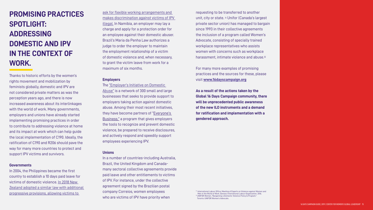## **PROMISING PRACTICES SPOTLIGHT: ADDRESSING DOMESTIC AND IPV IN THE CONTEXT OF WORK.**

Thanks to historic efforts by the women's rights movement and mobilization by feminists globally, domestic and IPV are not considered private matters as was the perception years ago, and there is now increased awareness about its interlinkages with the world of work. Many governments, employers and unions have already started implementing promising practices in order to contribute to addressing violence at home and its impact at work which can help guide the local implementation of C190. Ideally, the ratification of C190 and R206 should pave the way for many more countries to protect and support IPV victims and survivors.

#### **Governments**

In 2004, the Philippines became the first country to establish a 10 days paid leave for victims of domestic violence. [In 2018 New](https://www.bbc.com/news/world-asia-pacific-44951237)  [Zealand adopted a similar law with additional](https://www.bbc.com/news/world-asia-pacific-44951237)  [progressive provisions, allowing victims to](https://www.bbc.com/news/world-asia-pacific-44951237) 

ask for flexible working arrangements and makes discrimination against victims of IPV illegal. In Namibia, an employer may lay a charge and apply for a protection order for an employee against their domestic abuser. Brazil's Maria da Penha Law authorizes a judge to order the employer to maintain the employment relationship of a victim of domestic violence and, when necessary, to grant the victim leave from work for a maximum of six months.

#### **Employers**

 $12$  International Labour Office, Meeting of Experts on Violence against Women and Men in the World of Work. Geneva: International Labour Organization. 2016. <sup>3</sup> UNIFOR Women, "Bargaining a Domestic Violence Policy & Program." Toronto: UNIFOR Women's Advocate.

The ["Employer's Initiative on Domestic](https://www.eida.org.uk)  [Abuse"](https://www.eida.org.uk) is a network of 300 small and large businesses that seeks to provide support to employers taking action against domestic abuse. Among their most recent initiatives, they have become partners of "Everyone's [Business,"](https://static1.squarespace.com/static/5cd83ed84d871178f0307100/t/5cfe77b6f4185200010cde69/1560180681279/0884_HESTIA_-_DA_Booklet_V0_5W.pdf) a program that gives employers the tools to recognize and prevent domestic violence, be prepared to receive disclosures, and actively respond and speedily support employees experiencing IPV.

#### **Unions**

In a number of countries-including Australia, Brazil, the United Kingdom and Canadamany sectoral collective agreements provide paid leave and other entitlements to victims of IPV. For instance, under the collective agreement signed by the Brazilian postal company Correios, women employees who are victims of IPV have priority when

requesting to be transferred to another unit, city or state. 11 Unifor (Canada's largest private sector union) has managed to bargain since 1993 in their collective agreements the inclusion of a program called Women's Advocate, consisting of specially trained workplace representatives who assists women with concerns such as workplace harassment, intimate violence and abuse.12

For many more examples of promising practices and the sources for these, please visit **[www.16dayscampaign.org](https://16dayscampaign.org)**

**As a result of the actions taken by the Global 16 Days Campaign community, there will be unprecedented public awareness of the new ILO instruments and a demand for ratification and implementation with a gendered approach.**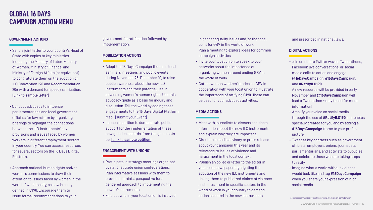#### **GOVERNMENT ACTIONS**

- Send a joint letter to your country's Head of State with copies to key ministries including the Ministry of Labor, Ministry of Women, Ministry of Finance, and Ministry of Foreign Affairs (or equivalent) to congratulate them on the adoption of ILO Convention 190 and Recommendation 206 with a demand for speedy ratification. [Link to **[sample letter](https://drive.google.com/file/d/1c9_PIfwJDLVl3wLDQyXSQSk6zNrLs6iY/view)**]
- Conduct advocacy to influence parliamentarians and local government officials for law reform by organizing briefings to highlight the connections between the ILO instruments' key provisions and issues faced by women workers in different employment sectors in your country. You can access resources for several sectors on the 16 Days Digital Platform.
- Approach national human rights and/or women's commissions to draw their attention to issues faced by women in the world of work locally, as now broadly defined in C190. Encourage them to issue formal recommendations to your

### **GLOBAL 16 DAYS CAMPAIGN ACTION MENU**

government for ratification followed by implementation.

#### **MOBILIZATION ACTIONS**

- Adopt the 16 Days Campaign theme in local seminars, meetings, and public events during November 25-December 10, to raise public awareness about the new ILO instruments and their potential use in advancing women's human rights. Use this advocacy guide as a basis for inquiry and discussion. Tell the world by adding these engagements to the 16 Days Digital Platform Map. [\[submit your Event\]](https://16dayscampaign.org/events/submit-event/)
- Launch a petition to demonstrate public support for the implementation of these new global standards, from the grassroots up. [Link to **[sample petition](https://drive.google.com/file/d/1tQofnFd4w1G1CmWLKSnONn02IjM9nIJ2/view)**]

#### **ENGAGEMENT WITH UNIONS**

- Participate in strategy meetings organized by national trade union confederations. Plan informative sessions with them to provide a feminist perspective for a gendered approach to implementing the new ILO instruments.
- Find out who in your local union is involved
- Invite your local union to speak to your
- networks about the importance of
- organizing women around ending GBV in the world of work.
- in gender equality issues and/or the focal point for GBV in the world of work. Plan a meeting to explore ideas for common campaign activities.
- 
- -
- Gather women workers' stories on GBV in cooperation with your local union to illustrate the importance of ratifying C190. These can be used for your advocacy activities.
- 

#### **MEDIA ACTIONS**

- Meet with journalists to discuss and share information about the new ILO instruments and explain why they are important. • Circulate a media advisory or press release about your campaign this year and its relevance to issues of violence and harassment in the local context. • Publish an op-ed or letter to the editor in your local newspaper highlighting the adoption of the new ILO instruments and linking them to publicized claims of violence and harassment in specific sectors in the world of work in your country to demand action as noted in the new instruments
- 
- 

and prescribed in national laws.

#### **DIGITAL ACTIONS**

• Join or initiate Twitter waves, Tweetathons, Facebook live conversations, or social media calls to action and engage **@16DaysCampaign, #16DaysCampaign,**  and **#RatifyILO190.**

A new resource will be provided in early November and **@16DaysCampaign** will lead a Tweetathon - stay tuned for more information!

- Amplify your voice on social media through the use of **#RatifyILO190** shareables specially created for you and by adding a **#16DaysCampaign** frame to your profile picture.
- Tweet at key contacts such as government officials, employers, unions, journalists, parliamentarians, and activists to publicize and celebrate those who are taking steps to ratify.
- Imagine what a world without violence would look like and tag **#16DaysCampaign** when you share your expression of it on social media.

<sup>1</sup>Actions recommended by the International Trade Union Confederation